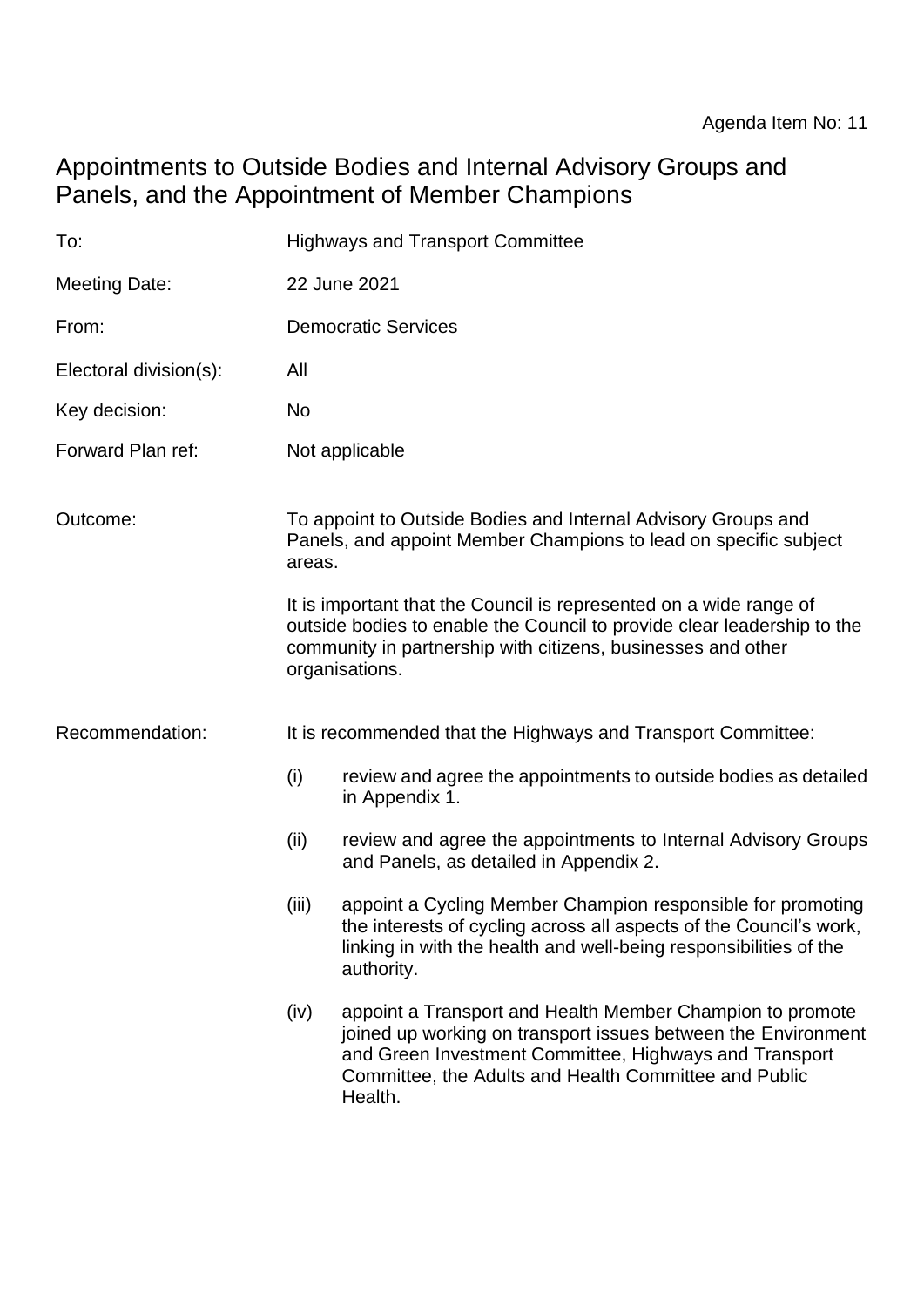# Appointments to Outside Bodies and Internal Advisory Groups and Panels, and the Appointment of Member Champions

| To:                    | <b>Highways and Transport Committee</b>                                                                                                                                                                                         |                                                                                                                                                                                                                                                          |
|------------------------|---------------------------------------------------------------------------------------------------------------------------------------------------------------------------------------------------------------------------------|----------------------------------------------------------------------------------------------------------------------------------------------------------------------------------------------------------------------------------------------------------|
| <b>Meeting Date:</b>   |                                                                                                                                                                                                                                 | 22 June 2021                                                                                                                                                                                                                                             |
| From:                  |                                                                                                                                                                                                                                 | <b>Democratic Services</b>                                                                                                                                                                                                                               |
| Electoral division(s): | All                                                                                                                                                                                                                             |                                                                                                                                                                                                                                                          |
| Key decision:          | No                                                                                                                                                                                                                              |                                                                                                                                                                                                                                                          |
| Forward Plan ref:      |                                                                                                                                                                                                                                 | Not applicable                                                                                                                                                                                                                                           |
| Outcome:               | To appoint to Outside Bodies and Internal Advisory Groups and<br>Panels, and appoint Member Champions to lead on specific subject<br>areas.                                                                                     |                                                                                                                                                                                                                                                          |
|                        | It is important that the Council is represented on a wide range of<br>outside bodies to enable the Council to provide clear leadership to the<br>community in partnership with citizens, businesses and other<br>organisations. |                                                                                                                                                                                                                                                          |
| Recommendation:        | It is recommended that the Highways and Transport Committee:                                                                                                                                                                    |                                                                                                                                                                                                                                                          |
|                        | (i)                                                                                                                                                                                                                             | review and agree the appointments to outside bodies as detailed<br>in Appendix 1.                                                                                                                                                                        |
|                        | (ii)                                                                                                                                                                                                                            | review and agree the appointments to Internal Advisory Groups<br>and Panels, as detailed in Appendix 2.                                                                                                                                                  |
|                        | (iii)                                                                                                                                                                                                                           | appoint a Cycling Member Champion responsible for promoting<br>the interests of cycling across all aspects of the Council's work,<br>linking in with the health and well-being responsibilities of the<br>authority.                                     |
|                        | (iv)                                                                                                                                                                                                                            | appoint a Transport and Health Member Champion to promote<br>joined up working on transport issues between the Environment<br>and Green Investment Committee, Highways and Transport<br>Committee, the Adults and Health Committee and Public<br>Health. |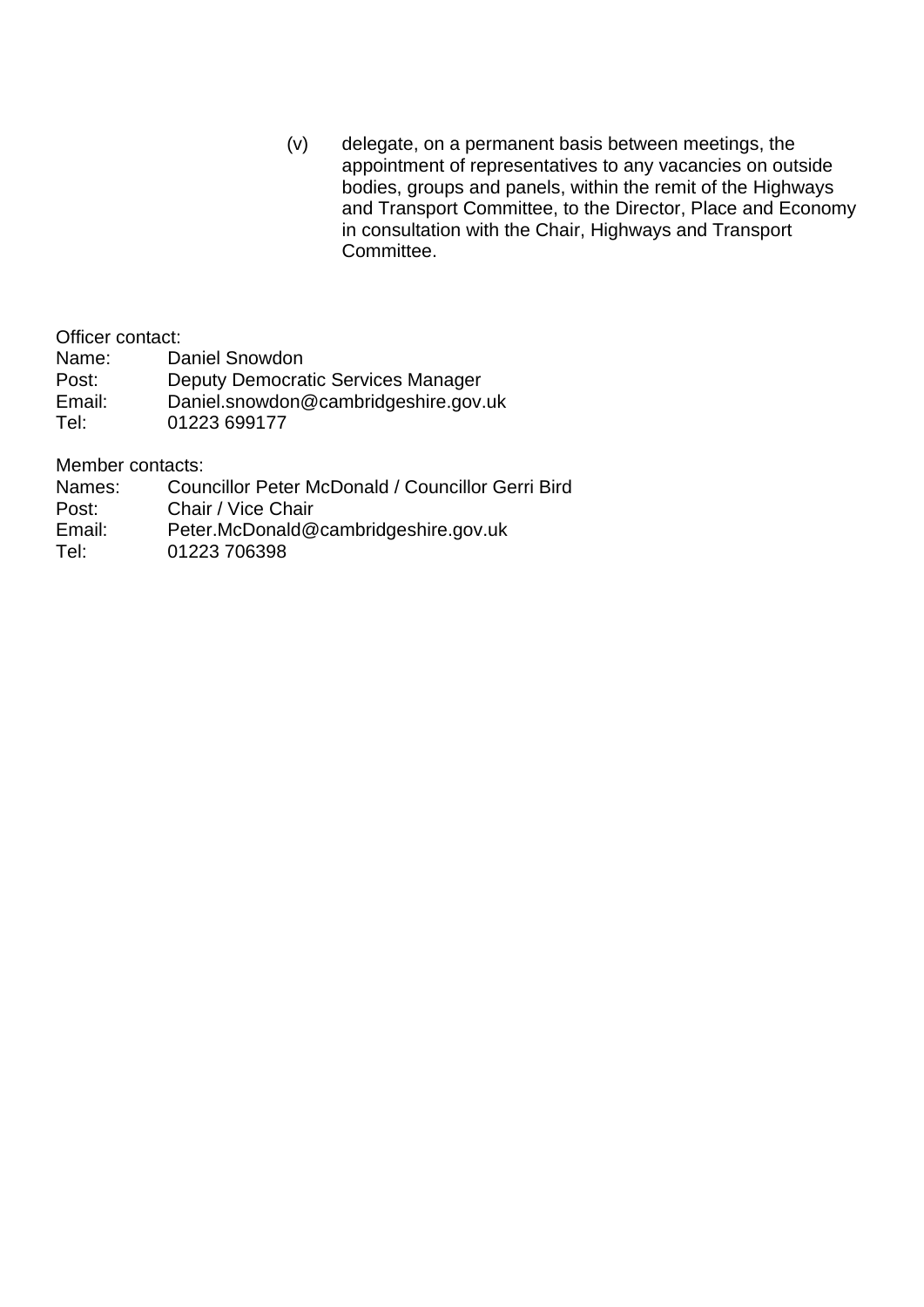(v) delegate, on a permanent basis between meetings, the appointment of representatives to any vacancies on outside bodies, groups and panels, within the remit of the Highways and Transport Committee, to the Director, Place and Economy in consultation with the Chair, Highways and Transport Committee.

Officer contact:

- Name: Daniel Snowdon
- Post: Deputy Democratic Services Manager<br>
Email: Daniel.snowdon@cambridgeshire.gov.
- Daniel.snowdon@cambridgeshire.gov.uk
- Tel: 01223 699177

Member contacts:

- Names: Councillor Peter McDonald / Councillor Gerri Bird<br>Post: Chair / Vice Chair
- Chair / Vice Chair
- Email: Peter.McDonald@cambridgeshire.gov.uk
- Tel: 01223 706398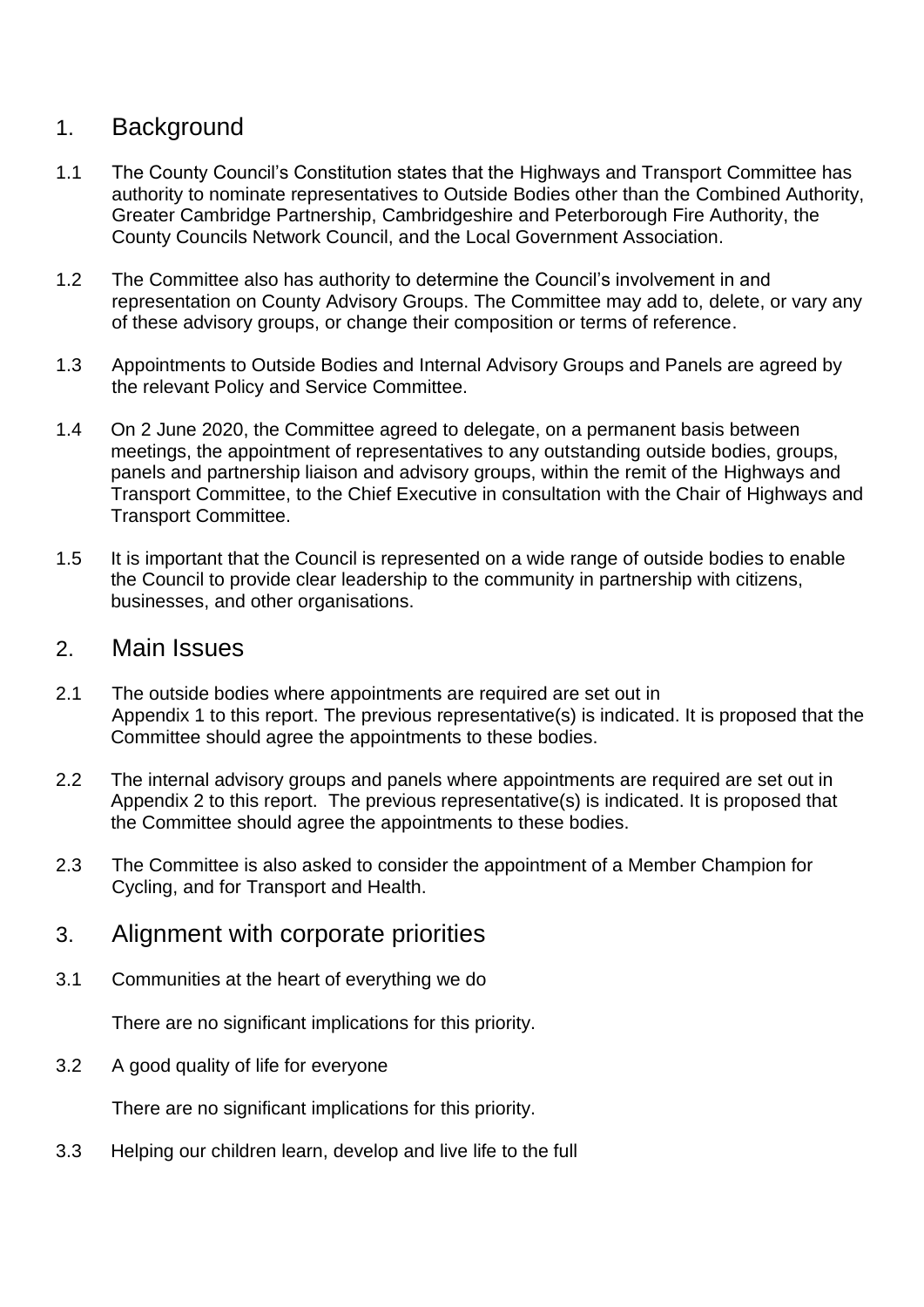## 1. Background

- 1.1 The County Council's Constitution states that the Highways and Transport Committee has authority to nominate representatives to Outside Bodies other than the Combined Authority, Greater Cambridge Partnership, Cambridgeshire and Peterborough Fire Authority, the County Councils Network Council, and the Local Government Association.
- 1.2 The Committee also has authority to determine the Council's involvement in and representation on County Advisory Groups. The Committee may add to, delete, or vary any of these advisory groups, or change their composition or terms of reference.
- 1.3 Appointments to Outside Bodies and Internal Advisory Groups and Panels are agreed by the relevant Policy and Service Committee.
- 1.4 On 2 June 2020, the Committee agreed to delegate, on a permanent basis between meetings, the appointment of representatives to any outstanding outside bodies, groups, panels and partnership liaison and advisory groups, within the remit of the Highways and Transport Committee, to the Chief Executive in consultation with the Chair of Highways and Transport Committee.
- 1.5 It is important that the Council is represented on a wide range of outside bodies to enable the Council to provide clear leadership to the community in partnership with citizens, businesses, and other organisations.

#### 2. Main Issues

- 2.1 The outside bodies where appointments are required are set out in Appendix 1 to this report. The previous representative(s) is indicated. It is proposed that the Committee should agree the appointments to these bodies.
- 2.2 The internal advisory groups and panels where appointments are required are set out in Appendix 2 to this report. The previous representative(s) is indicated. It is proposed that the Committee should agree the appointments to these bodies.
- 2.3 The Committee is also asked to consider the appointment of a Member Champion for Cycling, and for Transport and Health.

### 3. Alignment with corporate priorities

3.1 Communities at the heart of everything we do

There are no significant implications for this priority.

3.2 A good quality of life for everyone

There are no significant implications for this priority.

3.3 Helping our children learn, develop and live life to the full